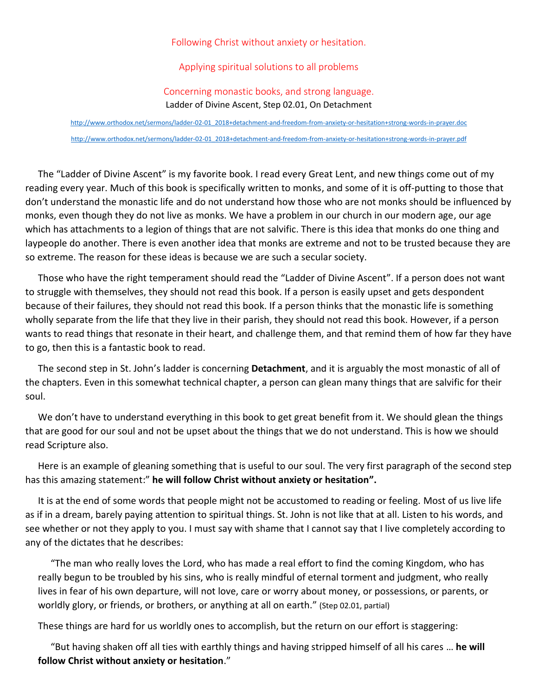## Following Christ without anxiety or hesitation.

## Applying spiritual solutions to all problems

## Concerning monastic books, and strong language.

Ladder of Divine Ascent, Step 02.01, On Detachment

[http://www.orthodox.net/sermons/ladder-02-01\\_2018+detachment-and-freedom-from-anxiety-or-hesitation+strong-words-in-prayer.doc](https://www.orthodox.net//sermons/ladder-02-01_2018+detachment-and-freedom-from-anxiety-or-hesitation+strong-words-in-prayer.doc) [http://www.orthodox.net/sermons/ladder-02-01\\_2018+detachment-and-freedom-from-anxiety-or-hesitation+strong-words-in-prayer.pdf](https://www.orthodox.net//sermons/ladder-02-01_2018+detachment-and-freedom-from-anxiety-or-hesitation+strong-words-in-prayer.pdf)

The "Ladder of Divine Ascent" is my favorite book. I read every Great Lent, and new things come out of my reading every year. Much of this book is specifically written to monks, and some of it is off-putting to those that don't understand the monastic life and do not understand how those who are not monks should be influenced by monks, even though they do not live as monks. We have a problem in our church in our modern age, our age which has attachments to a legion of things that are not salvific. There is this idea that monks do one thing and laypeople do another. There is even another idea that monks are extreme and not to be trusted because they are so extreme. The reason for these ideas is because we are such a secular society.

Those who have the right temperament should read the "Ladder of Divine Ascent". If a person does not want to struggle with themselves, they should not read this book. If a person is easily upset and gets despondent because of their failures, they should not read this book. If a person thinks that the monastic life is something wholly separate from the life that they live in their parish, they should not read this book. However, if a person wants to read things that resonate in their heart, and challenge them, and that remind them of how far they have to go, then this is a fantastic book to read.

The second step in St. John's ladder is concerning **Detachment**, and it is arguably the most monastic of all of the chapters. Even in this somewhat technical chapter, a person can glean many things that are salvific for their soul.

We don't have to understand everything in this book to get great benefit from it. We should glean the things that are good for our soul and not be upset about the things that we do not understand. This is how we should read Scripture also.

Here is an example of gleaning something that is useful to our soul. The very first paragraph of the second step has this amazing statement:" **he will follow Christ without anxiety or hesitation".**

It is at the end of some words that people might not be accustomed to reading or feeling. Most of us live life as if in a dream, barely paying attention to spiritual things. St. John is not like that at all. Listen to his words, and see whether or not they apply to you. I must say with shame that I cannot say that I live completely according to any of the dictates that he describes:

"The man who really loves the Lord, who has made a real effort to find the coming Kingdom, who has really begun to be troubled by his sins, who is really mindful of eternal torment and judgment, who really lives in fear of his own departure, will not love, care or worry about money, or possessions, or parents, or worldly glory, or friends, or brothers, or anything at all on earth." (Step 02.01, partial)

These things are hard for us worldly ones to accomplish, but the return on our effort is staggering:

"But having shaken off all ties with earthly things and having stripped himself of all his cares … **he will follow Christ without anxiety or hesitation**."